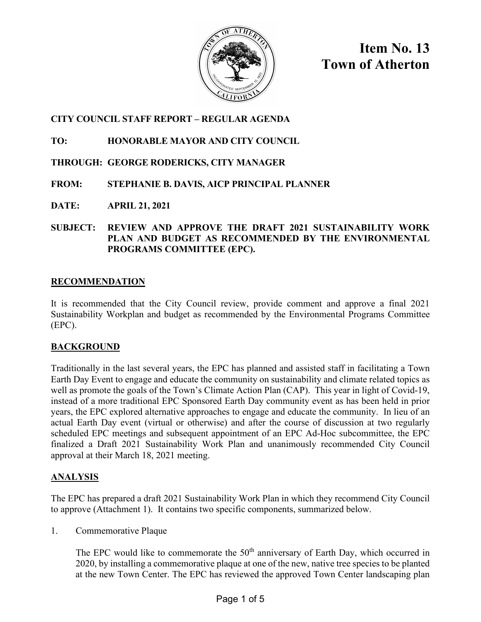

**Item No. 13 Town of Atherton**

## **CITY COUNCIL STAFF REPORT – REGULAR AGENDA**

## **TO: HONORABLE MAYOR AND CITY COUNCIL**

# **THROUGH: GEORGE RODERICKS, CITY MANAGER**

# **FROM: STEPHANIE B. DAVIS, AICP PRINCIPAL PLANNER**

**DATE: APRIL 21, 2021**

#### **SUBJECT: REVIEW AND APPROVE THE DRAFT 2021 SUSTAINABILITY WORK PLAN AND BUDGET AS RECOMMENDED BY THE ENVIRONMENTAL PROGRAMS COMMITTEE (EPC).**

## **RECOMMENDATION**

It is recommended that the City Council review, provide comment and approve a final 2021 Sustainability Workplan and budget as recommended by the Environmental Programs Committee (EPC).

## **BACKGROUND**

Traditionally in the last several years, the EPC has planned and assisted staff in facilitating a Town Earth Day Event to engage and educate the community on sustainability and climate related topics as well as promote the goals of the Town's Climate Action Plan (CAP). This year in light of Covid-19, instead of a more traditional EPC Sponsored Earth Day community event as has been held in prior years, the EPC explored alternative approaches to engage and educate the community. In lieu of an actual Earth Day event (virtual or otherwise) and after the course of discussion at two regularly scheduled EPC meetings and subsequent appointment of an EPC Ad-Hoc subcommittee, the EPC finalized a Draft 2021 Sustainability Work Plan and unanimously recommended City Council approval at their March 18, 2021 meeting.

## **ANALYSIS**

The EPC has prepared a draft 2021 Sustainability Work Plan in which they recommend City Council to approve (Attachment 1). It contains two specific components, summarized below.

1. Commemorative Plaque

The EPC would like to commemorate the  $50<sup>th</sup>$  anniversary of Earth Day, which occurred in 2020, by installing a commemorative plaque at one of the new, native tree species to be planted at the new Town Center. The EPC has reviewed the approved Town Center landscaping plan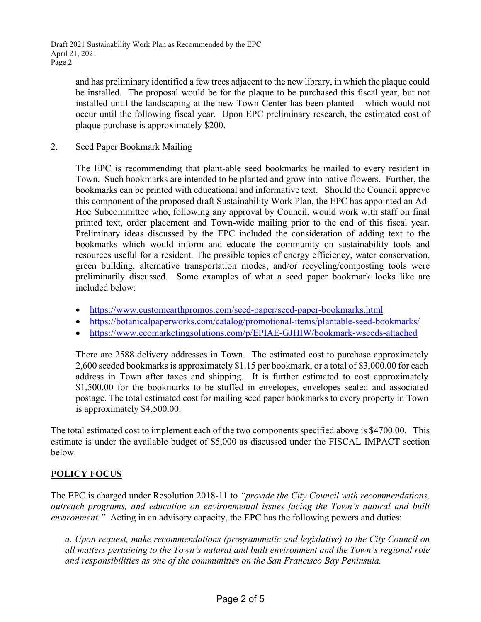and has preliminary identified a few trees adjacent to the new library, in which the plaque could be installed. The proposal would be for the plaque to be purchased this fiscal year, but not installed until the landscaping at the new Town Center has been planted – which would not occur until the following fiscal year. Upon EPC preliminary research, the estimated cost of plaque purchase is approximately \$200.

2. Seed Paper Bookmark Mailing

The EPC is recommending that plant-able seed bookmarks be mailed to every resident in Town. Such bookmarks are intended to be planted and grow into native flowers. Further, the bookmarks can be printed with educational and informative text. Should the Council approve this component of the proposed draft Sustainability Work Plan, the EPC has appointed an Ad-Hoc Subcommittee who, following any approval by Council, would work with staff on final printed text, order placement and Town-wide mailing prior to the end of this fiscal year. Preliminary ideas discussed by the EPC included the consideration of adding text to the bookmarks which would inform and educate the community on sustainability tools and resources useful for a resident. The possible topics of energy efficiency, water conservation, green building, alternative transportation modes, and/or recycling/composting tools were preliminarily discussed. Some examples of what a seed paper bookmark looks like are included below:

- <https://www.customearthpromos.com/seed-paper/seed-paper-bookmarks.html>
- https://botanicalpaperworks.com/catalog/promotional-items/plantable-seed-bookmarks/
- <https://www.ecomarketingsolutions.com/p/EPIAE-GJHIW/bookmark-wseeds-attached>

There are 2588 delivery addresses in Town. The estimated cost to purchase approximately 2,600 seeded bookmarks is approximately \$1.15 per bookmark, or a total of \$3,000.00 for each address in Town after taxes and shipping. It is further estimated to cost approximately \$1,500.00 for the bookmarks to be stuffed in envelopes, envelopes sealed and associated postage. The total estimated cost for mailing seed paper bookmarks to every property in Town is approximately \$4,500.00.

The total estimated cost to implement each of the two components specified above is \$4700.00. This estimate is under the available budget of \$5,000 as discussed under the FISCAL IMPACT section below.

## **POLICY FOCUS**

The EPC is charged under Resolution 2018-11 to *"provide the City Council with recommendations, outreach programs, and education on environmental issues facing the Town's natural and built environment."* Acting in an advisory capacity, the EPC has the following powers and duties:

*a. Upon request, make recommendations (programmatic and legislative) to the City Council on all matters pertaining to the Town's natural and built environment and the Town's regional role and responsibilities as one of the communities on the San Francisco Bay Peninsula.*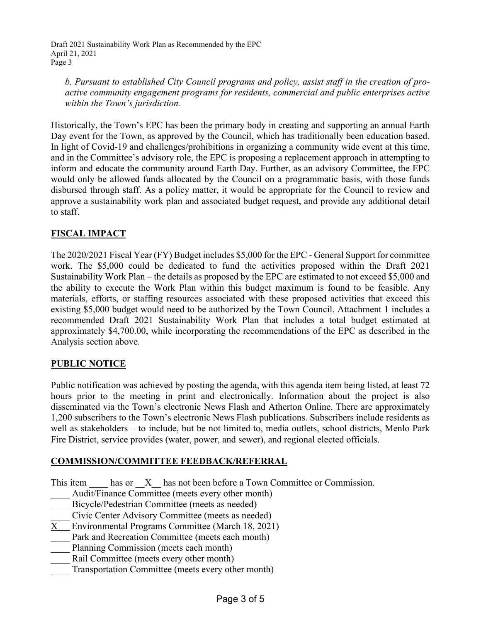Draft 2021 Sustainability Work Plan as Recommended by the EPC April 21, 2021 Page 3

*b. Pursuant to established City Council programs and policy, assist staff in the creation of proactive community engagement programs for residents, commercial and public enterprises active within the Town's jurisdiction.* 

Historically, the Town's EPC has been the primary body in creating and supporting an annual Earth Day event for the Town, as approved by the Council, which has traditionally been education based. In light of Covid-19 and challenges/prohibitions in organizing a community wide event at this time, and in the Committee's advisory role, the EPC is proposing a replacement approach in attempting to inform and educate the community around Earth Day. Further, as an advisory Committee, the EPC would only be allowed funds allocated by the Council on a programmatic basis, with those funds disbursed through staff. As a policy matter, it would be appropriate for the Council to review and approve a sustainability work plan and associated budget request, and provide any additional detail to staff.

# **FISCAL IMPACT**

The 2020/2021 Fiscal Year (FY) Budget includes \$5,000 for the EPC - General Support for committee work. The \$5,000 could be dedicated to fund the activities proposed within the Draft 2021 Sustainability Work Plan – the details as proposed by the EPC are estimated to not exceed \$5,000 and the ability to execute the Work Plan within this budget maximum is found to be feasible. Any materials, efforts, or staffing resources associated with these proposed activities that exceed this existing \$5,000 budget would need to be authorized by the Town Council. Attachment 1 includes a recommended Draft 2021 Sustainability Work Plan that includes a total budget estimated at approximately \$4,700.00, while incorporating the recommendations of the EPC as described in the Analysis section above.

## **PUBLIC NOTICE**

Public notification was achieved by posting the agenda, with this agenda item being listed, at least 72 hours prior to the meeting in print and electronically. Information about the project is also disseminated via the Town's electronic News Flash and Atherton Online. There are approximately 1,200 subscribers to the Town's electronic News Flash publications. Subscribers include residents as well as stakeholders – to include, but be not limited to, media outlets, school districts, Menlo Park Fire District, service provides (water, power, and sewer), and regional elected officials.

#### **COMMISSION/COMMITTEE FEEDBACK/REFERRAL**

This item has or X has not been before a Town Committee or Commission.

- Audit/Finance Committee (meets every other month)
- Bicycle/Pedestrian Committee (meets as needed)
- \_\_\_\_ Civic Center Advisory Committee (meets as needed)
- X \_\_ Environmental Programs Committee (March 18, 2021)
- Park and Recreation Committee (meets each month)
- Planning Commission (meets each month)
- Rail Committee (meets every other month)
- Transportation Committee (meets every other month)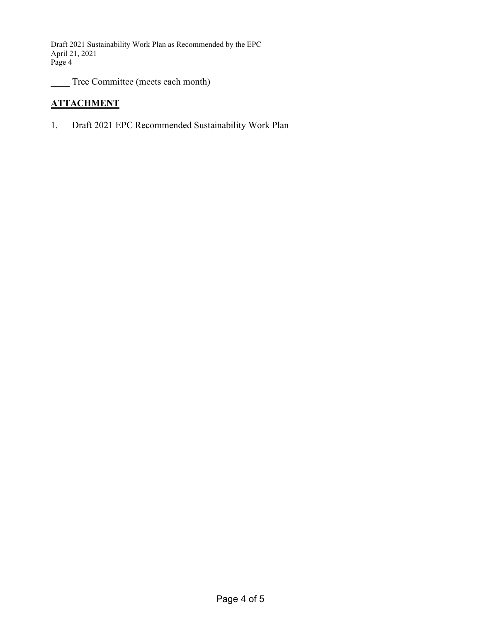Draft 2021 Sustainability Work Plan as Recommended by the EPC April 21, 2021 Page 4

Tree Committee (meets each month)

# **ATTACHMENT**

1. Draft 2021 EPC Recommended Sustainability Work Plan